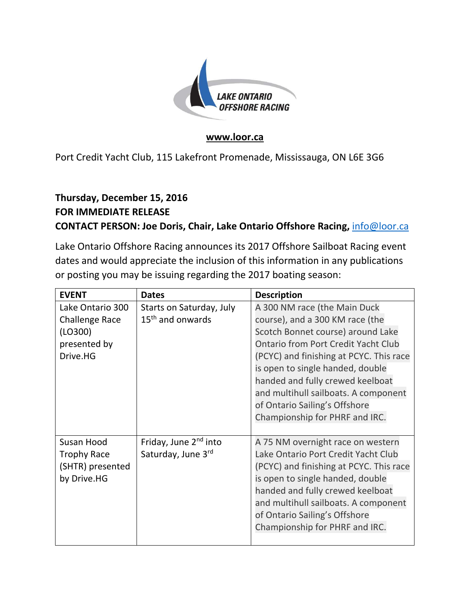

## **www.loor.ca**

Port Credit Yacht Club, 115 Lakefront Promenade, Mississauga, ON L6E 3G6

## **Thursday, December 15, 2016 FOR IMMEDIATE RELEASE CONTACT PERSON: Joe Doris, Chair, Lake Ontario Offshore Racing,** [info@loor.ca](mailto:info@loor.ca)

Lake Ontario Offshore Racing announces its 2017 Offshore Sailboat Racing event dates and would appreciate the inclusion of this information in any publications or posting you may be issuing regarding the 2017 boating season:

| <b>EVENT</b>                                                                     | <b>Dates</b>                                            | <b>Description</b>                                                                                                                                                                                                                                                                                                                                                               |
|----------------------------------------------------------------------------------|---------------------------------------------------------|----------------------------------------------------------------------------------------------------------------------------------------------------------------------------------------------------------------------------------------------------------------------------------------------------------------------------------------------------------------------------------|
| Lake Ontario 300<br><b>Challenge Race</b><br>(LO300)<br>presented by<br>Drive.HG | Starts on Saturday, July<br>$15th$ and onwards          | A 300 NM race (the Main Duck<br>course), and a 300 KM race (the<br>Scotch Bonnet course) around Lake<br><b>Ontario from Port Credit Yacht Club</b><br>(PCYC) and finishing at PCYC. This race<br>is open to single handed, double<br>handed and fully crewed keelboat<br>and multihull sailboats. A component<br>of Ontario Sailing's Offshore<br>Championship for PHRF and IRC. |
| Susan Hood<br><b>Trophy Race</b><br>(SHTR) presented<br>by Drive.HG              | Friday, June 2 <sup>nd</sup> into<br>Saturday, June 3rd | A 75 NM overnight race on western<br>Lake Ontario Port Credit Yacht Club<br>(PCYC) and finishing at PCYC. This race<br>is open to single handed, double<br>handed and fully crewed keelboat<br>and multihull sailboats. A component<br>of Ontario Sailing's Offshore<br>Championship for PHRF and IRC.                                                                           |